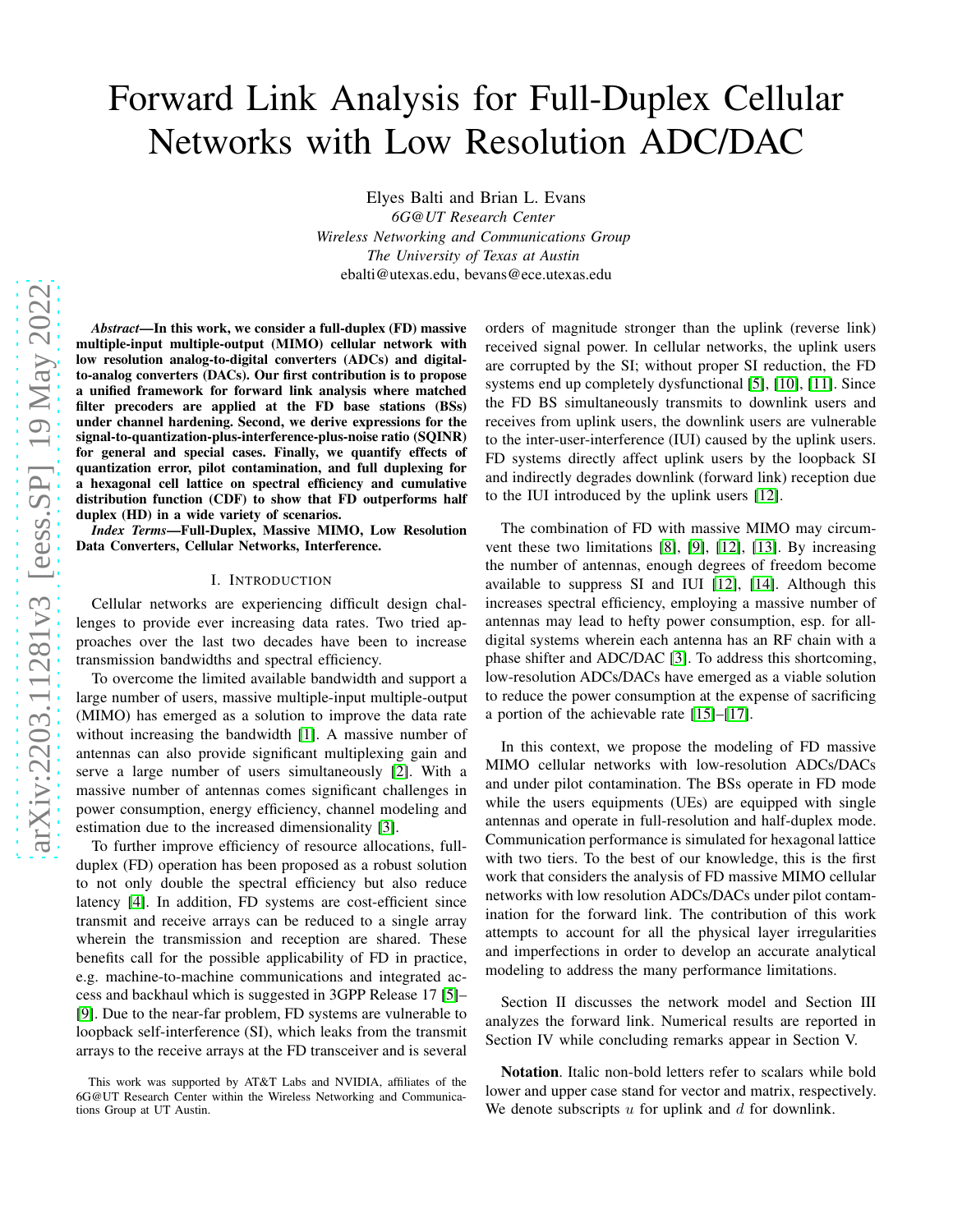# Forward Link Analysis for Full-Duplex Cellular Networks with Low Resolution ADC/DAC

Elyes Balti and Brian L. Evans *6G@UT Research Center Wireless Networking and Communications Group The University of Texas at Austin* ebalti@utexas.edu, bevans@ece.utexas.edu

*Abstract*—In this work, we consider a full-duplex (FD) massive multiple-input multiple-output (MIMO) cellular network with low resolution analog-to-digital converters (ADCs) and digitalto-analog converters (DACs). Our first contribution is to propose a unified framework for forward link analysis where matched filter precoders are applied at the FD base stations (BSs) under channel hardening. Second, we derive expressions for the signal-to-quantization-plus-interference-plus-noise ratio (SQINR) for general and special cases. Finally, we quantify effects of quantization error, pilot contamination, and full duplexing for a hexagonal cell lattice on spectral efficiency and cumulative distribution function (CDF) to show that FD outperforms half duplex (HD) in a wide variety of scenarios.

*Index Terms*—Full-Duplex, Massive MIMO, Low Resolution Data Converters, Cellular Networks, Interference.

## I. INTRODUCTION

Cellular networks are experiencing difficult design challenges to provide ever increasing data rates. Two tried approaches over the last two decades have been to increase transmission bandwidths and spectral efficiency.

To overcome the limited available bandwidth and support a large number of users, massive multiple-input multiple-output (MIMO) has emerged as a solution to improve the data rate without increasing the bandwidth [\[1\]](#page-4-0). A massive number of antennas can also provide significant multiplexing gain and serve a large number of users simultaneously [\[2\]](#page-4-1). With a massive number of antennas comes significant challenges in power consumption, energy efficiency, channel modeling and estimation due to the increased dimensionality [\[3\]](#page-4-2).

To further improve efficiency of resource allocations, fullduplex (FD) operation has been proposed as a robust solution to not only double the spectral efficiency but also reduce latency [\[4\]](#page-4-3). In addition, FD systems are cost-efficient since transmit and receive arrays can be reduced to a single array wherein the transmission and reception are shared. These benefits call for the possible applicability of FD in practice, e.g. machine-to-machine communications and integrated access and backhaul which is suggested in 3GPP Release 17 [\[5\]](#page-4-4)– [\[9\]](#page-4-5). Due to the near-far problem, FD systems are vulnerable to loopback self-interference (SI), which leaks from the transmit arrays to the receive arrays at the FD transceiver and is several

orders of magnitude stronger than the uplink (reverse link) received signal power. In cellular networks, the uplink users are corrupted by the SI; without proper SI reduction, the FD systems end up completely dysfunctional [\[5\]](#page-4-4), [\[10\]](#page-4-6), [\[11\]](#page-4-7). Since the FD BS simultaneously transmits to downlink users and receives from uplink users, the downlink users are vulnerable to the inter-user-interference (IUI) caused by the uplink users. FD systems directly affect uplink users by the loopback SI and indirectly degrades downlink (forward link) reception due to the IUI introduced by the uplink users [\[12\]](#page-4-8).

The combination of FD with massive MIMO may circumvent these two limitations [\[8\]](#page-4-9), [\[9\]](#page-4-5), [\[12\]](#page-4-8), [\[13\]](#page-4-10). By increasing the number of antennas, enough degrees of freedom become available to suppress SI and IUI [\[12\]](#page-4-8), [\[14\]](#page-4-11). Although this increases spectral efficiency, employing a massive number of antennas may lead to hefty power consumption, esp. for alldigital systems wherein each antenna has an RF chain with a phase shifter and ADC/DAC [\[3\]](#page-4-2). To address this shortcoming, low-resolution ADCs/DACs have emerged as a viable solution to reduce the power consumption at the expense of sacrificing a portion of the achievable rate [\[15\]](#page-4-12)–[\[17\]](#page-4-13).

In this context, we propose the modeling of FD massive MIMO cellular networks with low-resolution ADCs/DACs and under pilot contamination. The BSs operate in FD mode while the users equipments (UEs) are equipped with single antennas and operate in full-resolution and half-duplex mode. Communication performance is simulated for hexagonal lattice with two tiers. To the best of our knowledge, this is the first work that considers the analysis of FD massive MIMO cellular networks with low resolution ADCs/DACs under pilot contamination for the forward link. The contribution of this work attempts to account for all the physical layer irregularities and imperfections in order to develop an accurate analytical modeling to address the many performance limitations.

Section II discusses the network model and Section III analyzes the forward link. Numerical results are reported in Section IV while concluding remarks appear in Section V.

Notation. Italic non-bold letters refer to scalars while bold lower and upper case stand for vector and matrix, respectively. We denote subscripts  $u$  for uplink and  $d$  for downlink.

This work was supported by AT&T Labs and NVIDIA, affiliates of the 6G@UT Research Center within the Wireless Networking and Communications Group at UT Austin.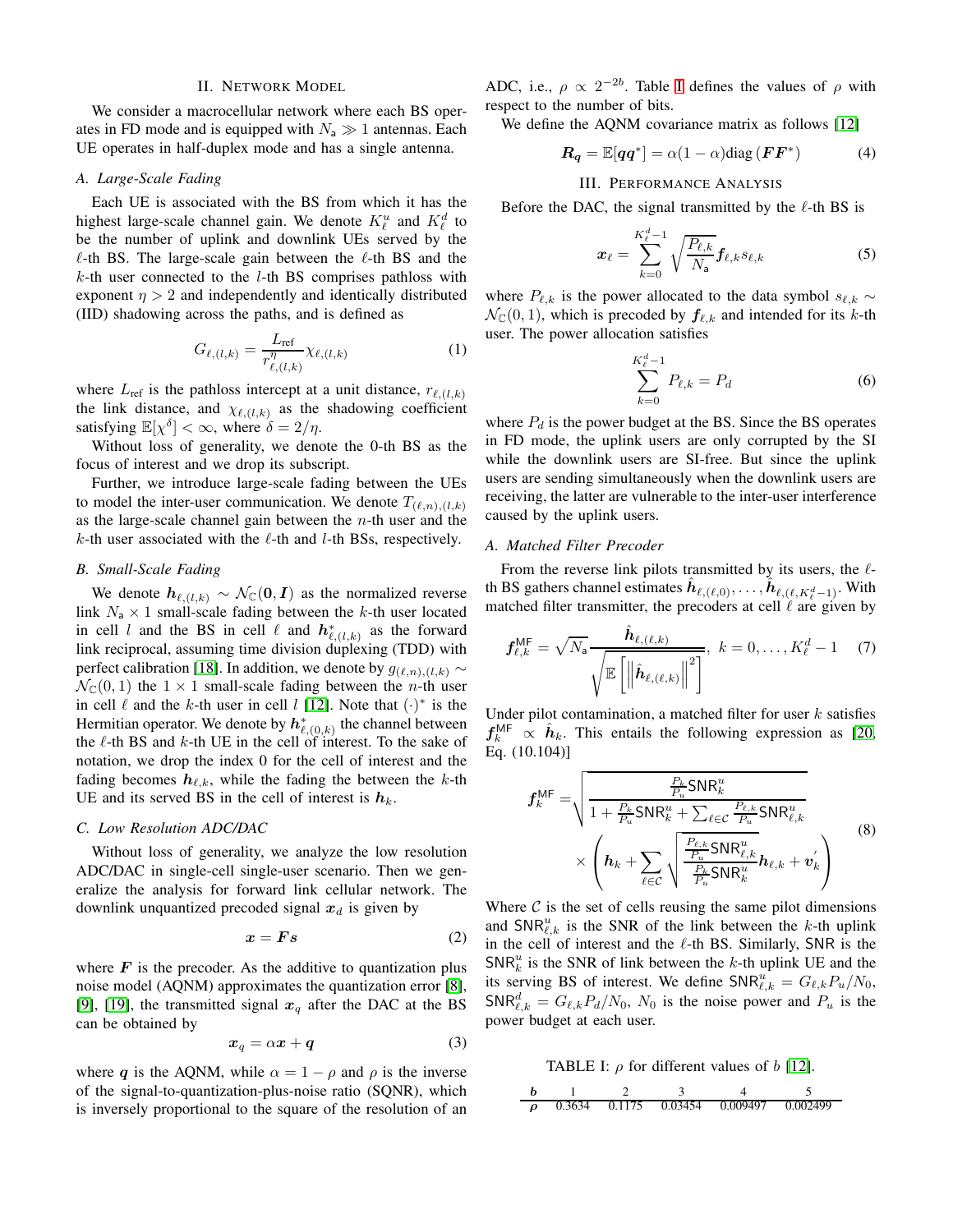## II. NETWORK MODEL

We consider a macrocellular network where each BS operates in FD mode and is equipped with  $N_a \gg 1$  antennas. Each UE operates in half-duplex mode and has a single antenna.

## *A. Large-Scale Fading*

Each UE is associated with the BS from which it has the highest large-scale channel gain. We denote  $K^u_\ell$  and  $K^d_\ell$  to be the number of uplink and downlink UEs served by the  $\ell$ -th BS. The large-scale gain between the  $\ell$ -th BS and the  $k$ -th user connected to the  $l$ -th BS comprises pathloss with exponent  $\eta > 2$  and independently and identically distributed (IID) shadowing across the paths, and is defined as

$$
G_{\ell,(l,k)} = \frac{L_{\text{ref}}}{r_{\ell,(l,k)}^{\eta}} \chi_{\ell,(l,k)} \tag{1}
$$

where  $L_{ref}$  is the pathloss intercept at a unit distance,  $r_{\ell,(l,k)}$ the link distance, and  $\chi_{\ell,(l,k)}$  as the shadowing coefficient satisfying  $\mathbb{E}[\chi^{\delta}] < \infty$ , where  $\delta = 2/\eta$ .

Without loss of generality, we denote the 0-th BS as the focus of interest and we drop its subscript.

Further, we introduce large-scale fading between the UEs to model the inter-user communication. We denote  $T_{(\ell,n),(l,k)}$ as the large-scale channel gain between the  $n$ -th user and the  $k$ -th user associated with the  $\ell$ -th and  $l$ -th BSs, respectively.

### *B. Small-Scale Fading*

We denote  $h_{\ell,(l,k)} \sim \mathcal{N}_{\mathbb{C}}(0, I)$  as the normalized reverse link  $N_a \times 1$  small-scale fading between the k-th user located in cell l and the BS in cell l and  $h^*_{\ell,(l,k)}$  as the forward link reciprocal, assuming time division duplexing (TDD) with perfect calibration [\[18\]](#page-4-14). In addition, we denote by  $g_{(\ell,n),(l,k)}$  ∼  $\mathcal{N}_{\mathbb{C}}(0, 1)$  the  $1 \times 1$  small-scale fading between the *n*-th user in cell  $\ell$  and the k-th user in cell l [\[12\]](#page-4-8). Note that  $(\cdot)^*$  is the Hermitian operator. We denote by  $h^*_{\ell,(0,k)}$  the channel between the  $\ell$ -th BS and  $k$ -th UE in the cell of interest. To the sake of notation, we drop the index 0 for the cell of interest and the fading becomes  $h_{\ell,k}$ , while the fading the between the k-th UE and its served BS in the cell of interest is  $h_k$ .

#### *C. Low Resolution ADC/DAC*

Without loss of generality, we analyze the low resolution ADC/DAC in single-cell single-user scenario. Then we generalize the analysis for forward link cellular network. The downlink unquantized precoded signal  $x_d$  is given by

$$
x = Fs \tag{2}
$$

where  $\boldsymbol{F}$  is the precoder. As the additive to quantization plus noise model (AQNM) approximates the quantization error [\[8\]](#page-4-9), [\[9\]](#page-4-5), [\[19\]](#page-4-15), the transmitted signal  $x_q$  after the DAC at the BS can be obtained by

$$
x_q = \alpha x + q \tag{3}
$$

where q is the AQNM, while  $\alpha = 1 - \rho$  and  $\rho$  is the inverse of the signal-to-quantization-plus-noise ratio (SQNR), which is inversely proportional to the square of the resolution of an

ADC, i.e.,  $\rho \propto 2^{-2b}$ . Table [I](#page-1-0) defines the values of  $\rho$  with respect to the number of bits.

We define the AQNM covariance matrix as follows [\[12\]](#page-4-8)

$$
\boldsymbol{R}_{\boldsymbol{q}} = \mathbb{E}[\boldsymbol{q}\boldsymbol{q}^*] = \alpha(1-\alpha)\text{diag}(\boldsymbol{F}\boldsymbol{F}^*)
$$
 (4)

#### III. PERFORMANCE ANALYSIS

Before the DAC, the signal transmitted by the  $\ell$ -th BS is

$$
\boldsymbol{x}_{\ell} = \sum_{k=0}^{K_{\ell}^{d}-1} \sqrt{\frac{P_{\ell,k}}{N_{\mathsf{a}}}} \boldsymbol{f}_{\ell,k} s_{\ell,k} \tag{5}
$$

where  $P_{\ell,k}$  is the power allocated to the data symbol  $s_{\ell,k} \sim$  $\mathcal{N}_{\mathbb{C}}(0, 1)$ , which is precoded by  $f_{\ell, k}$  and intended for its k-th user. The power allocation satisfies

$$
\sum_{k=0}^{K_{\ell}^{d}-1} P_{\ell,k} = P_d \tag{6}
$$

where  $P_d$  is the power budget at the BS. Since the BS operates in FD mode, the uplink users are only corrupted by the SI while the downlink users are SI-free. But since the uplink users are sending simultaneously when the downlink users are receiving, the latter are vulnerable to the inter-user interference caused by the uplink users.

### *A. Matched Filter Precoder*

From the reverse link pilots transmitted by its users, the  $\ell$ th BS gathers channel estimates  $\hat{\bm{h}}_{\ell,(\ell,0)},\ldots,\hat{\bm{h}}_{\ell,(\ell,K^d_{\ell}-1)}$ . With matched filter transmitter, the precoders at cell  $\ell$  are given by

$$
\boldsymbol{f}_{\ell,k}^{\mathsf{MF}} = \sqrt{N_{\mathsf{a}}}\frac{\hat{\boldsymbol{h}}_{\ell,(\ell,k)}}{\sqrt{\mathbb{E}\left[\left\|\hat{\boldsymbol{h}}_{\ell,(\ell,k)}\right\|^2\right]}},\ \ k=0,\ldots,K_{\ell}^d-1\quad \ \ (7)
$$

Under pilot contamination, a matched filter for user  $k$  satisfies  $f_k^{\text{MF}} \propto \hat{h}_k$ . This entails the following expression as [\[20,](#page-4-16) Eq. (10.104)]

$$
f_k^{\text{MF}} = \sqrt{\frac{\frac{P_k}{P_u} \text{SNR}_k^u}{1 + \frac{P_k}{P_u} \text{SNR}_k^u + \sum_{\ell \in \mathcal{C}} \frac{P_{\ell,k}}{P_u} \text{SNR}_{\ell,k}^u}} \times \left(\boldsymbol{h}_k + \sum_{\ell \in \mathcal{C}} \sqrt{\frac{\frac{P_{\ell,k}}{P_u} \text{SNR}_{\ell,k}^u}{\frac{P_k}{P_u} \text{SNR}_k^u}} \boldsymbol{h}_{\ell,k} + \boldsymbol{v}_k'}\right)
$$
(8)

Where  $\mathcal C$  is the set of cells reusing the same pilot dimensions and  $\text{SNR}_{\ell,k}^u$  is the SNR of the link between the k-th uplink in the cell of interest and the  $\ell$ -th BS. Similarly, SNR is the  $SNR_k^u$  is the SNR of link between the k-th uplink UE and the its serving BS of interest. We define  $\textsf{SNR}_{\ell,k}^u = G_{\ell,k} P_u / N_0$ ,  $\mathsf{SNR}_{\ell,k}^d = G_{\ell,k} P_d / N_0$ ,  $N_0$  is the noise power and  $P_u$  is the power budget at each user.

TABLE I:  $\rho$  for different values of b [\[12\]](#page-4-8).

<span id="page-1-0"></span>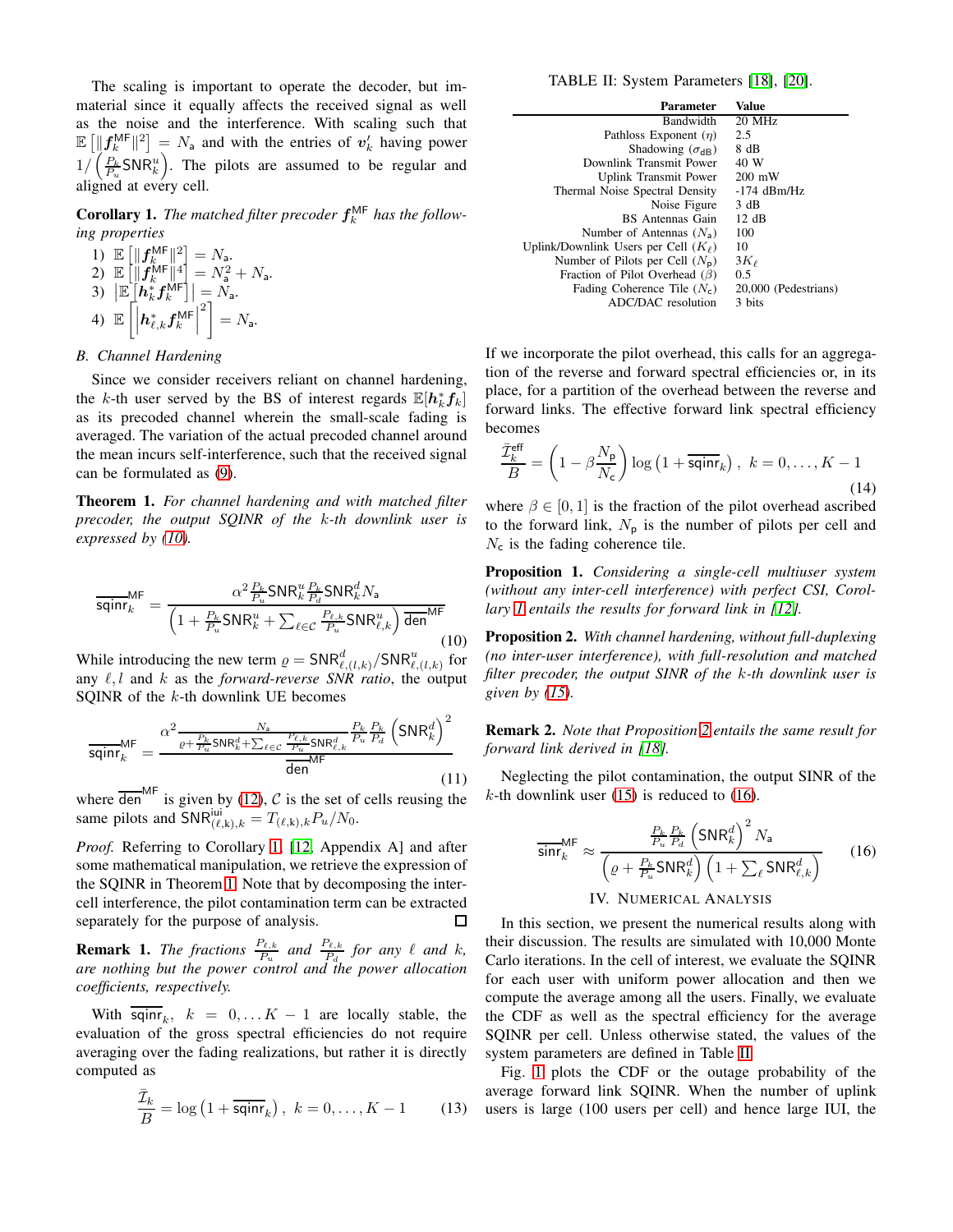The scaling is important to operate the decoder, but immaterial since it equally affects the received signal as well as the noise and the interference. With scaling such that  $\mathbb{E} \left[ \|\mathbf{f}_k^{\text{MF}}\|^2 \right] = N_a$  and with the entries of  $\mathbf{v}'_k$  having power  $1/\left(\frac{P_k}{P_u}SNR_k^u\right)$ . The pilots are assumed to be regular and aligned at every cell.

<span id="page-2-1"></span>**Corollary 1.** The matched filter precoder  $f_k^{\text{MF}}$  has the follow*ing properties*

1) 
$$
\mathbb{E}\left[\|f_k^{\mathsf{MF}}\|^2\right] = N_a.
$$
  
\n2) 
$$
\mathbb{E}\left[\|f_k^{\mathsf{MF}}\|^4\right] = N_a^2 + N_a.
$$
  
\n3) 
$$
|\mathbb{E}\left[h_k^*f_k^{\mathsf{MF}}\right]| = N_a.
$$
  
\n4) 
$$
\mathbb{E}\left[\left|h_{\ell,k}^*f_k^{\mathsf{MF}}\right|^2\right] = N_a.
$$

## *B. Channel Hardening*

Since we consider receivers reliant on channel hardening, the k-th user served by the BS of interest regards  $\mathbb{E}[\mathbf{h}_k^* \mathbf{f}_k]$ as its precoded channel wherein the small-scale fading is averaged. The variation of the actual precoded channel around the mean incurs self-interference, such that the received signal can be formulated as [\(9\)](#page-3-0).

<span id="page-2-2"></span>Theorem 1. *For channel hardening and with matched filter precoder, the output SQINR of the* k*-th downlink user is expressed by [\(10\)](#page-2-0).*

<span id="page-2-0"></span>
$$
\overline{\text{sqinr}}_k^{\text{MF}} = \frac{\alpha^2 \frac{P_k}{P_u} \text{SNR}_k^u \frac{P_k}{P_d} \text{SNR}_k^d N_a}{\left(1 + \frac{P_k}{P_u} \text{SNR}_k^u + \sum_{\ell \in \mathcal{C}} \frac{P_{\ell,k}}{P_u} \text{SNR}_{\ell,k}^u \right) \overline{\text{den}}^{\text{MF}}}
$$
(10)

While introducing the new term  $\rho = \text{SNR}_{\ell,(l,k)}^d / \text{SNR}_{\ell,(l,k)}^u$  for any  $\ell, l$  and  $k$  as the *forward-reverse SNR ratio*, the output SQINR of the  $k$ -th downlink UE becomes

$$
\overline{\text{sqinr}}_{k}^{\text{MF}} = \frac{\alpha^2 \frac{N_a}{\varrho + \frac{P_k}{P_u} \text{SNR}_k^d + \sum_{\ell \in \mathcal{C}} \frac{P_{\ell,k}}{P_u} \text{SNR}_{\ell,k}^d} \frac{P_k}{P_u} \frac{P_k}{P_d} \left( \text{SNR}_k^d \right)^2}{\overline{\text{den}}^{\text{MF}}} \tag{11}
$$

where  $\overline{\text{den}}^{\text{MF}}$  is given by [\(12\)](#page-3-1), C is the set of cells reusing the same pilots and  $\overline{SNR}^{\text{ini}}_{(\ell,k),k} = T_{(\ell,k),k} P_u/N_0$ .

*Proof.* Referring to Corollary [1,](#page-2-1) [\[12,](#page-4-8) Appendix A] and after some mathematical manipulation, we retrieve the expression of the SQINR in Theorem [1.](#page-2-2) Note that by decomposing the intercell interference, the pilot contamination term can be extracted separately for the purpose of analysis.  $\Box$ 

**Remark 1.** *The fractions*  $\frac{P_{\ell,k}}{P_u}$  *and*  $\frac{P_{\ell,k}}{P_d}$  *for any*  $\ell$  *and*  $k$ *, are nothing but the power control and the power allocation coefficients, respectively.*

With  $\overline{\text{sqin}r}_k$ ,  $k = 0, \dots K - 1$  are locally stable, the evaluation of the gross spectral efficiencies do not require averaging over the fading realizations, but rather it is directly computed as

$$
\frac{\bar{\mathcal{I}}_k}{B} = \log\left(1 + \overline{\text{sqinr}}_k\right), \ k = 0, \dots, K - 1 \tag{13}
$$

<span id="page-2-5"></span>

| <b>Parameter</b>                          | Value                |
|-------------------------------------------|----------------------|
| <b>Bandwidth</b>                          | $20$ MHz             |
| Pathloss Exponent $(n)$                   | 2.5                  |
| Shadowing $(\sigma_{AB})$                 | 8 dB                 |
| Downlink Transmit Power                   | 40 W                 |
| Uplink Transmit Power                     | $200 \text{ mW}$     |
| Thermal Noise Spectral Density            | $-174$ dBm/Hz        |
| Noise Figure                              | 3 dB                 |
| <b>BS</b> Antennas Gain                   | $12 \text{ dB}$      |
| Number of Antennas $(N_a)$                | 100                  |
| Uplink/Downlink Users per Cell $(K_\ell)$ | 10                   |
| Number of Pilots per Cell $(N_p)$         | $3K_{\ell}$          |
| Fraction of Pilot Overhead ( $\beta$ )    | 0.5                  |
| Fading Coherence Tile $(N_c)$             | 20,000 (Pedestrians) |
| ADC/DAC resolution                        | 3 bits               |

If we incorporate the pilot overhead, this calls for an aggregation of the reverse and forward spectral efficiencies or, in its place, for a partition of the overhead between the reverse and forward links. The effective forward link spectral efficiency becomes

$$
\frac{\bar{\mathcal{I}}_k^{\text{eff}}}{B} = \left(1 - \beta \frac{N_{\text{p}}}{N_{\text{c}}}\right) \log\left(1 + \overline{\text{sqinr}}_k\right), \ k = 0, \dots, K - 1
$$
\n(14)

where  $\beta \in [0, 1]$  is the fraction of the pilot overhead ascribed to the forward link,  $N_p$  is the number of pilots per cell and  $N_c$  is the fading coherence tile.

Proposition 1. *Considering a single-cell multiuser system (without any inter-cell interference) with perfect CSI, Corollary [1](#page-2-1) entails the results for forward link in [\[12\]](#page-4-8).*

<span id="page-2-3"></span>Proposition 2. *With channel hardening, without full-duplexing (no inter-user interference), with full-resolution and matched filter precoder, the output SINR of the* k*-th downlink user is given by [\(15\)](#page-3-2).*

Remark 2. *Note that Proposition [2](#page-2-3) entails the same result for forward link derived in [\[18\]](#page-4-14).*

Neglecting the pilot contamination, the output SINR of the  $k$ -th downlink user [\(15\)](#page-3-2) is reduced to [\(16\)](#page-2-4).

<span id="page-2-4"></span>
$$
\frac{E_k}{\sin r_k^{MF}} \approx \frac{\frac{P_k}{P_u} \frac{P_k}{P_d} \left( \text{SNR}_k^d \right)^2 N_a}{\left( \varrho + \frac{P_k}{P_u} \text{SNR}_k^d \right) \left( 1 + \sum_{\ell} \text{SNR}_{\ell,k}^d \right)}
$$
(16)

IV. NUMERICAL ANALYSIS

In this section, we present the numerical results along with their discussion. The results are simulated with 10,000 Monte Carlo iterations. In the cell of interest, we evaluate the SQINR for each user with uniform power allocation and then we compute the average among all the users. Finally, we evaluate the CDF as well as the spectral efficiency for the average SQINR per cell. Unless otherwise stated, the values of the system parameters are defined in Table [II.](#page-2-5)

Fig. [1](#page-3-3) plots the CDF or the outage probability of the average forward link SQINR. When the number of uplink users is large (100 users per cell) and hence large IUI, the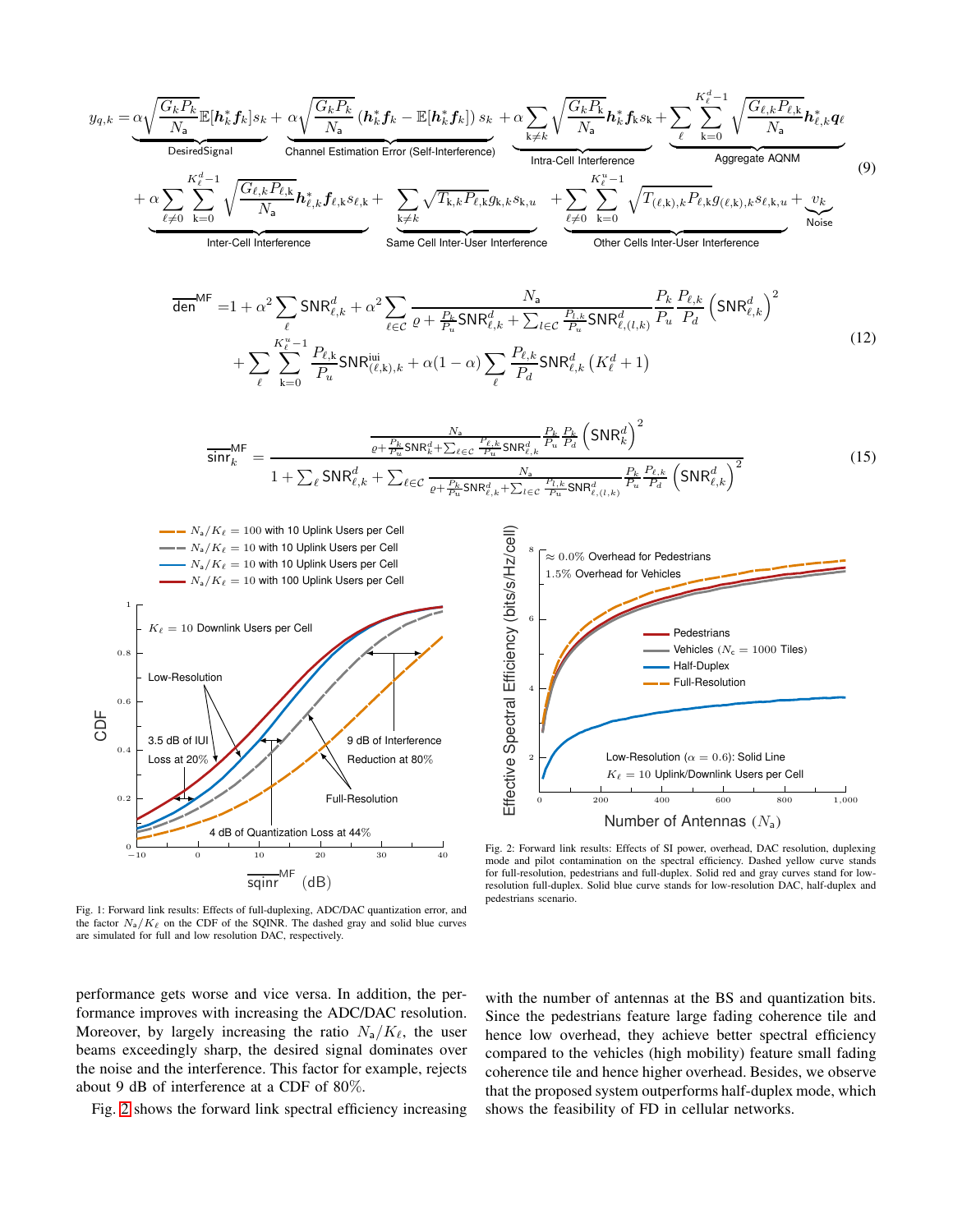<span id="page-3-2"></span><span id="page-3-1"></span><span id="page-3-0"></span>
$$
y_{q,k} = \underbrace{\alpha \sqrt{\frac{G_k P_k}{N_a}} \mathbb{E}[\mathbf{h}_k^* \mathbf{f}_k]s_k + \underbrace{\alpha \sqrt{\frac{G_k P_k}{N_a}} (\mathbf{h}_k^* \mathbf{f}_k - \mathbb{E}[\mathbf{h}_k^* \mathbf{f}_k])s_k}_{\text{observedSignal}} + \underbrace{\alpha \sum_{\text{chiral solution}} \sqrt{\frac{G_k R_k}{N_a}} \mathbf{h}_k^* \mathbf{f}_k s_k + \sum_{\text{the cell interaction}} \frac{K_k^*}{\text{intra-cell inference}} \underbrace{\sum_{\text{intra-cell information}} \sqrt{\frac{G_k k R_k}{N_a}} \mathbf{h}_k^* \mathbf{f}_k s_k + \sum_{\text{the cell interaction}} \frac{K_k^*}{\text{intra-cell interference}} \underbrace{\sum_{\text{intra-cell information}} \sqrt{\frac{G_k k R_k}{N_a}} \mathbf{h}_k^* \mathbf{f}_k s_k + \sum_{\text{the cell interaction}} \frac{K_k^*}{\text{intra-cell interference}} \underbrace{\sum_{\text{intra cell interaction}} \sqrt{T_{(k,k)}} \mathbf{h}_k^* \mathbf{f}_k s_k}_{\text{intra-cell interference}} + \underbrace{\sum_{\text{intra cell interaction}} \sqrt{\frac{G_k k R_k}{N_a}} \mathbf{h}_k^* \mathbf{f}_k s_k}_{\text{intra-cell interference}} \underbrace{\sum_{\text{intra-cell information}} \frac{K_k^* - 1}{\text{intra-Cell surface}} \underbrace{\sum_{\text{intra}} \text{SNR}_{\ell,k}^* \mathbf{f}_k s_k}_{\text{intra}} + \underbrace{\sum_{\text{intra}} \sqrt{T_{(k,k)}} \mathbf{h}_k^* \mathbf{f}_k s_k}_{\text{intra}} + \underbrace{\sum_{\text{intra}} \sum_{\text{intra}} \frac{K_k}{\text{intra}} \mathbf{SNR}_{\ell,k}^* \mathbf{f}_k^* \mathbf{f}_k^* \mathbf{f}_k^* \mathbf{f}_k^* \mathbf{f}_k^* \mathbf{f}_k^* \mathbf{f}_k^* \mathbf{f}_k^* \mathbf{f}_k^* \mathbf{f}_k^* \mathbf{f}_k^* \mathbf{f}_k^* \mathbf{f}_k^* \mathbf{f}_k^* \mathbf{f}_k^* \mathbf{f}_k^* \mathbf{f
$$

<span id="page-3-4"></span>Fig. 2: Forward link results: Effects of SI power, overhead, DAC resolution, duplexing mode and pilot contamination on the spectral efficiency. Dashed yellow curve stands for full-resolution, pedestrians and full-duplex. Solid red and gray curves stand for lowresolution full-duplex. Solid blue curve stands for low-resolution DAC, half-duplex and pedestrians scenario.

performance gets worse and vice versa. In addition, the performance improves with increasing the ADC/DAC resolution. Moreover, by largely increasing the ratio  $N_a/K_\ell$ , the user beams exceedingly sharp, the desired signal dominates over the noise and the interference. This factor for example, rejects about 9 dB of interference at a CDF of 80%.

 $-10$  0 10 20 30 40

 $\overline{\text{sginr}}^{\text{MF}}$  (dB)

Fig. 1: Forward link results: Effects of full-duplexing, ADC/DAC quantization error, and the factor  $N_a/K_\ell$  on the CDF of the SQINR. The dashed gray and solid blue curves

are simulated for full and low resolution DAC, respectively.

4 dB of Quantization Loss at 44 $\%$ 

<span id="page-3-3"></span>0

Fig. [2](#page-3-4) shows the forward link spectral efficiency increasing

with the number of antennas at the BS and quantization bits. Since the pedestrians feature large fading coherence tile and hence low overhead, they achieve better spectral efficiency compared to the vehicles (high mobility) feature small fading coherence tile and hence higher overhead. Besides, we observe that the proposed system outperforms half-duplex mode, which shows the feasibility of FD in cellular networks.